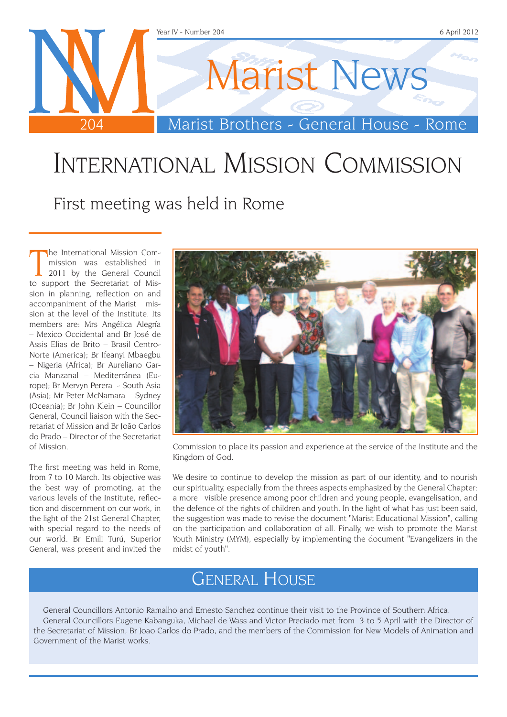

## International Mission Commission

First meeting was held in Rome

The International Mission Commission was established in 2011 by the General Council<br>to support the Secretariat of Mishe International Mission Commission was established in 2011 by the General Council sion in planning, reflection on and accompaniment of the Marist mission at the level of the Institute. Its members are: Mrs Angélica Alegría – Mexico Occidental and Br José de Assis Elias de Brito – Brasil Centro-Norte (America); Br Ifeanyi Mbaegbu – Nigeria (Africa); Br Aureliano Garcia Manzanal – Mediterránea (Europe); Br Mervyn Perera - South Asia (Asia); Mr Peter McNamara – Sydney (Oceania); Br John Klein – Councillor General, Council liaison with the Secretariat of Mission and Br João Carlos do Prado – Director of the Secretariat of Mission.

The first meeting was held in Rome, from 7 to 10 March. Its objective was the best way of promoting, at the various levels of the Institute, reflection and discernment on our work, in the light of the 21st General Chapter, with special regard to the needs of our world. Br Emili Turú, Superior General, was present and invited the



Commission to place its passion and experience at the service of the Institute and the Kingdom of God.

We desire to continue to develop the mission as part of our identity, and to nourish our spirituality, especially from the threes aspects emphasized by the General Chapter: a more visible presence among poor children and young people, evangelisation, and the defence of the rights of children and youth. In the light of what has just been said, the suggestion was made to revise the document "Marist Educational Mission", calling on the participation and collaboration of all. Finally, we wish to promote the Marist Youth Ministry (MYM), especially by implementing the document "Evangelizers in the midst of youth".

### General House

General Councillors Antonio Ramalho and Ernesto Sanchez continue their visit to the Province of Southern Africa. General Councillors Eugene Kabanguka, Michael de Wass and Victor Preciado met from 3 to 5 April with the Director of the Secretariat of Mission, Br Joao Carlos do Prado, and the members of the Commission for New Models of Animation and Government of the Marist works.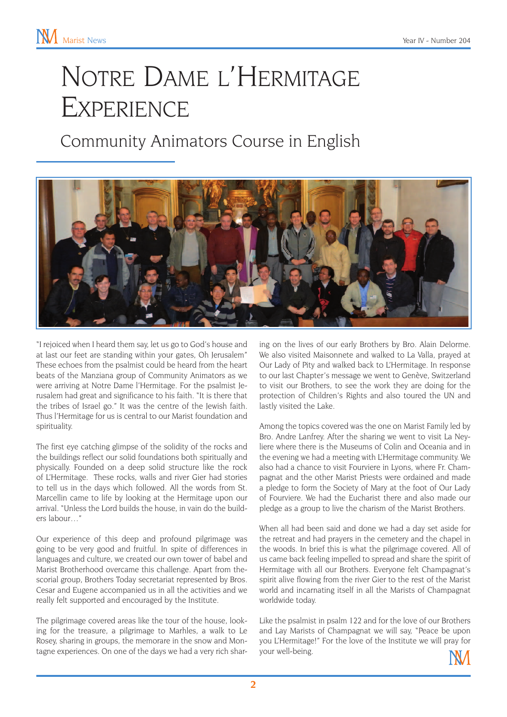# Notre Dame l'Hermitage **EXPERIENCE**

### Community Animators Course in English



"I rejoiced when I heard them say, let us go to God's house and at last our feet are standing within your gates, Oh Jerusalem" These echoes from the psalmist could be heard from the heart beats of the Manziana group of Community Animators as we were arriving at Notre Dame l'Hermitage. For the psalmist Jerusalem had great and significance to his faith. "It is there that the tribes of Israel go." It was the centre of the Jewish faith. Thus l'Hermitage for us is central to our Marist foundation and spirituality.

The first eye catching glimpse of the solidity of the rocks and the buildings reflect our solid foundations both spiritually and physically. Founded on a deep solid structure like the rock of L'Hermitage. These rocks, walls and river Gier had stories to tell us in the days which followed. All the words from St. Marcellin came to life by looking at the Hermitage upon our arrival. "Unless the Lord builds the house, in vain do the builders labour…"

Our experience of this deep and profound pilgrimage was going to be very good and fruitful. In spite of differences in languages and culture, we created our own tower of babel and Marist Brotherhood overcame this challenge. Apart from thescorial group, Brothers Today secretariat represented by Bros. Cesar and Eugene accompanied us in all the activities and we really felt supported and encouraged by the Institute.

The pilgrimage covered areas like the tour of the house, looking for the treasure, a pilgrimage to Marhles, a walk to Le Rosey, sharing in groups, the memorare in the snow and Montagne experiences. On one of the days we had a very rich sharing on the lives of our early Brothers by Bro. Alain Delorme. We also visited Maisonnete and walked to La Valla, prayed at Our Lady of Pity and walked back to L'Hermitage. In response to our last Chapter's message we went to Genève, Switzerland to visit our Brothers, to see the work they are doing for the protection of Children's Rights and also toured the UN and lastly visited the Lake.

Among the topics covered was the one on Marist Family led by Bro. Andre Lanfrey. After the sharing we went to visit La Neyliere where there is the Museums of Colin and Oceania and in the evening we had a meeting with L'Hermitage community. We also had a chance to visit Fourviere in Lyons, where Fr. Champagnat and the other Marist Priests were ordained and made a pledge to form the Society of Mary at the foot of Our Lady of Fourviere. We had the Eucharist there and also made our pledge as a group to live the charism of the Marist Brothers.

When all had been said and done we had a day set aside for the retreat and had prayers in the cemetery and the chapel in the woods. In brief this is what the pilgrimage covered. All of us came back feeling impelled to spread and share the spirit of Hermitage with all our Brothers. Everyone felt Champagnat's spirit alive flowing from the river Gier to the rest of the Marist world and incarnating itself in all the Marists of Champagnat worldwide today.

Like the psalmist in psalm 122 and for the love of our Brothers and Lay Marists of Champagnat we will say, "Peace be upon you L'Hermitage!" For the love of the Institute we will pray for your well-being.

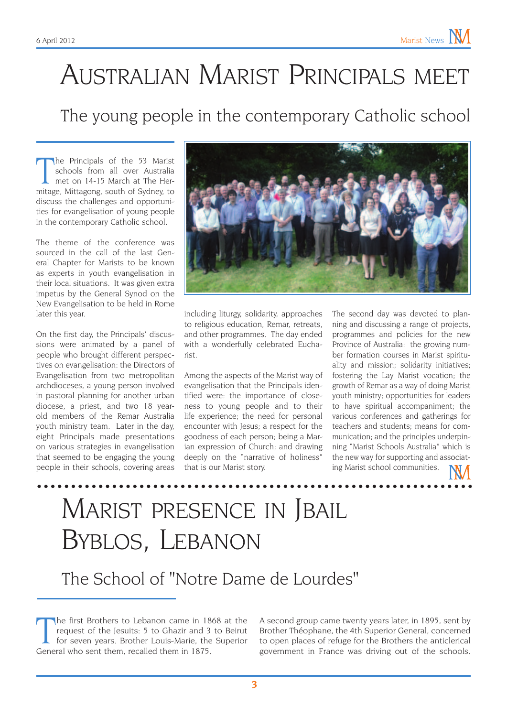# Australian Marist Principals meet

#### The young people in the contemporary Catholic school

The Principals of the 53 Marist<br>schools from all over Australia<br>met on 14-15 March at The Her-<br>mitage, Mittagong, south of Sydney, to he Principals of the 53 Marist schools from all over Australia met on 14-15 March at The Herdiscuss the challenges and opportunities for evangelisation of young people in the contemporary Catholic school.

The theme of the conference was sourced in the call of the last General Chapter for Marists to be known as experts in youth evangelisation in their local situations. It was given extra impetus by the General Synod on the New Evangelisation to be held in Rome later this year.

On the first day, the Principals' discussions were animated by a panel of people who brought different perspectives on evangelisation: the Directors of Evangelisation from two metropolitan archdioceses, a young person involved in pastoral planning for another urban diocese, a priest, and two 18 yearold members of the Remar Australia youth ministry team. Later in the day, eight Principals made presentations on various strategies in evangelisation that seemed to be engaging the young people in their schools, covering areas



including liturgy, solidarity, approaches to religious education, Remar, retreats, and other programmes. The day ended with a wonderfully celebrated Eucharist.

Among the aspects of the Marist way of evangelisation that the Principals identified were: the importance of closeness to young people and to their life experience; the need for personal encounter with Jesus; a respect for the goodness of each person; being a Marian expression of Church; and drawing deeply on the "narrative of holiness" that is our Marist story.

The second day was devoted to planning and discussing a range of projects, programmes and policies for the new Province of Australia: the growing number formation courses in Marist spirituality and mission; solidarity initiatives; fostering the Lay Marist vocation; the growth of Remar as a way of doing Marist youth ministry; opportunities for leaders to have spiritual accompaniment; the various conferences and gatherings for teachers and students; means for communication; and the principles underpinning "Marist Schools Australia" which is the new way for supporting and associating Marist school communities.

## Marist presence in Jbail Byblos, Lebanon

The School of "Notre Dame de Lourdes"

The first Brothers to Lebanon came in 188<br>request of the Jesuits: 5 to Ghazir and 3<br>for seven years. Brother Louis-Marie, the<br>General who sent them, recalled them in 1875. he first Brothers to Lebanon came in 1868 at the request of the Jesuits: 5 to Ghazir and 3 to Beirut for seven years. Brother Louis-Marie, the Superior

A second group came twenty years later, in 1895, sent by Brother Théophane, the 4th Superior General, concerned to open places of refuge for the Brothers the anticlerical government in France was driving out of the schools.